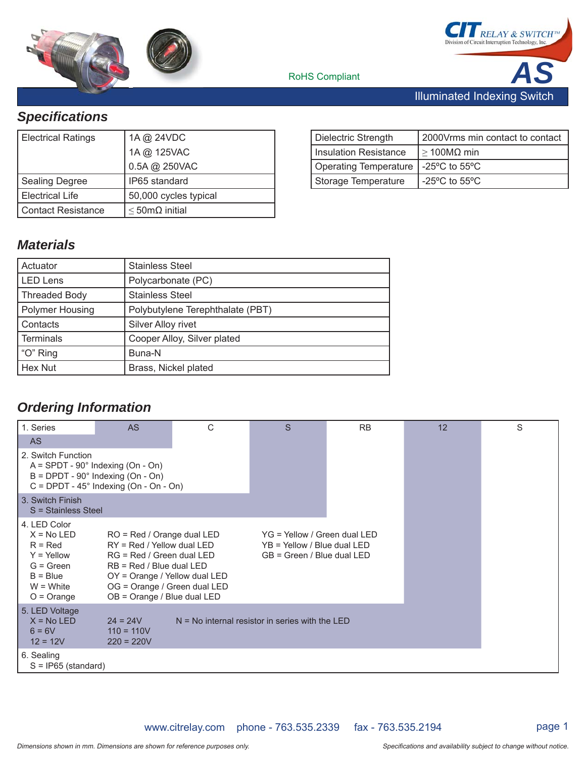





RoHS Compliant

*Specifi cations*

|                           | 1A @ 125VAC<br>0.5A @ 250VAC |
|---------------------------|------------------------------|
| <b>Sealing Degree</b>     | IP65 standard                |
| Electrical Life           | 50,000 cycles typical        |
| <b>Contact Resistance</b> | $\leq$ 50m $\Omega$ initial  |

| Dielectric Strength                   | 2000 Vrms min contact to contact   |
|---------------------------------------|------------------------------------|
| Insulation Resistance                 | $\geq$ 100MΩ min                   |
| Operating Temperature   -25°C to 55°C |                                    |
| Storage Temperature                   | $-25^{\circ}$ C to 55 $^{\circ}$ C |

## *Materials*

| Actuator               | <b>Stainless Steel</b>           |
|------------------------|----------------------------------|
| <b>LED Lens</b>        | Polycarbonate (PC)               |
| <b>Threaded Body</b>   | <b>Stainless Steel</b>           |
| <b>Polymer Housing</b> | Polybutylene Terephthalate (PBT) |
| Contacts               | Silver Alloy rivet               |
| <b>Terminals</b>       | Cooper Alloy, Silver plated      |
| "O" Ring               | Buna-N                           |
| Hex Nut                | Brass, Nickel plated             |
|                        |                                  |

## *Ordering Information*

| 1. Series                                                                                                                                                   | <b>AS</b>                                                                                                                                                                                                                                                                                                          | C | S | <b>RB</b> | 12 | S |
|-------------------------------------------------------------------------------------------------------------------------------------------------------------|--------------------------------------------------------------------------------------------------------------------------------------------------------------------------------------------------------------------------------------------------------------------------------------------------------------------|---|---|-----------|----|---|
| <b>AS</b>                                                                                                                                                   |                                                                                                                                                                                                                                                                                                                    |   |   |           |    |   |
| 2. Switch Function                                                                                                                                          | $A =$ SPDT - 90 $^{\circ}$ Indexing (On - On)<br>$B = D$ PDT - 90 $^{\circ}$ Indexing (On - On)<br>$C = D$ PDT - 45° Indexing (On - On - On)                                                                                                                                                                       |   |   |           |    |   |
| 3. Switch Finish<br>S = Stainless Steel                                                                                                                     |                                                                                                                                                                                                                                                                                                                    |   |   |           |    |   |
| 4. LED Color<br>$X = No LED$<br>$R = Red$<br>$Y = Y$ ellow<br>$G = Green$<br>$B = Blue$<br>$W = White$<br>$O = Orange$                                      | YG = Yellow / Green dual LED<br>$RO = Red / Orange dual LED$<br>RY = Red / Yellow dual LED<br>YB = Yellow / Blue dual LED<br>RG = Red / Green dual LED<br>GB = Green / Blue dual LED<br>$RB = Red / Blue dual LED$<br>OY = Orange / Yellow dual LED<br>OG = Orange / Green dual LED<br>OB = Orange / Blue dual LED |   |   |           |    |   |
| 5. LED Voltage<br>$X = No LED$<br>$N = No$ internal resistor in series with the LED<br>$24 = 24V$<br>$110 = 110V$<br>$6 = 6V$<br>$12 = 12V$<br>$220 = 220V$ |                                                                                                                                                                                                                                                                                                                    |   |   |           |    |   |
| 6. Sealing<br>$S = IP65$ (standard)                                                                                                                         |                                                                                                                                                                                                                                                                                                                    |   |   |           |    |   |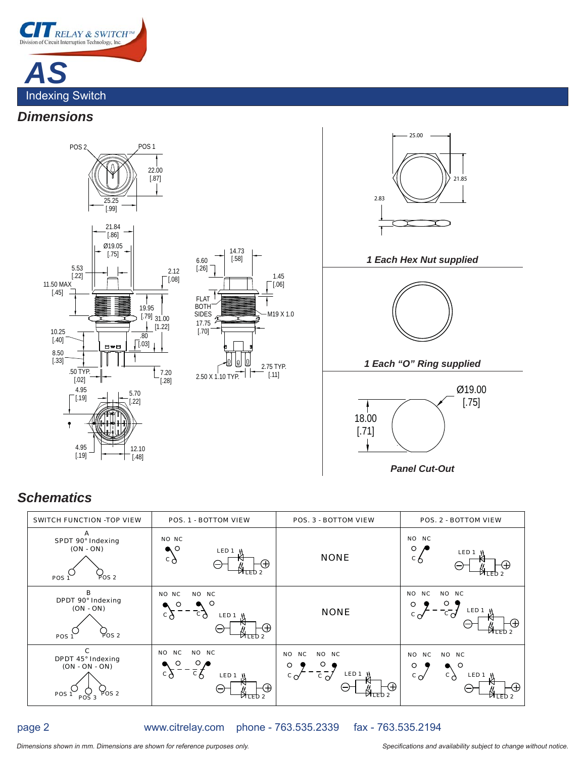

### *Dimensions*



*Panel Cut-Out*

## *Schematics*

| <b>SWITCH FUNCTION -TOP VIEW</b>                                                            | <b>POS. 1 - BOTTOM VIEW</b>                                                                                                    | <b>POS. 3 - BOTTOM VIEW</b>                                                                                                                                      | <b>POS. 2 - BOTTOM VIEW</b>                                                                                                                                          |  |  |
|---------------------------------------------------------------------------------------------|--------------------------------------------------------------------------------------------------------------------------------|------------------------------------------------------------------------------------------------------------------------------------------------------------------|----------------------------------------------------------------------------------------------------------------------------------------------------------------------|--|--|
| A<br>SPDT 90° Indexing<br>$(ON - ON)$<br>POS 2<br>POS <sub>1</sub>                          | NO NC<br>∩<br>LED <sub>1</sub><br>$\circ \Diamond$<br>Œ.<br>(—)<br><b>MLED</b>                                                 | <b>NONE</b>                                                                                                                                                      | <b>NC</b><br><b>NO</b><br>O<br>LED <sub>1</sub><br>$c^{\circ}$<br>ИТFD                                                                                               |  |  |
| в<br>DPDT 90° Indexing<br>$(ON - ON)$<br>POS 2<br>POS <sub>1</sub>                          | NO NC<br>NO NC<br>O<br>$\circ$ $\circ$<br>LED <sub>1</sub><br>م c<br>÷.<br>VILED 2                                             | <b>NONE</b>                                                                                                                                                      | <b>NO</b><br><b>NC</b><br>NO NC<br>О<br>LED <sub>1</sub><br>$\mathbf{c}$ $\mathbf{d}$<br>$c \sim$<br>(+<br>$\nabla$ LED 2                                            |  |  |
| C<br>DPDT 45° Indexing<br>$(ON - ON - ON)$<br>POS <sub>2</sub><br>POS <sub>1</sub><br>POS 3 | <b>NC</b><br>NO NC<br><b>NO</b><br>$\overline{c}^{Q}$<br>$c_{\circ}$<br>LED <sub>1</sub><br>$\left( \mathrm{+}\right)$<br>FD 2 | <b>NO</b><br><b>NC</b><br>NO NC<br>O<br>O<br>LED <sub>1</sub><br>$\epsilon_{\text{O}}$<br>$\mathbf{c}^{\mathbf{O}}$<br>$\left( +\right)$<br>(—)<br><b>MLED</b> 2 | <b>NC</b><br><b>NO</b><br><b>NC</b><br>NO<br>O<br>O<br>LED <sub>1</sub><br>С.<br>$\mathbf{c}_{\alpha}$<br>Ή.<br>$\overline{\phantom{0}}$<br><b>ZTED</b> <sub>2</sub> |  |  |

#### www.citrelay.com phone - 763.535.2339 fax - 763.535.2194